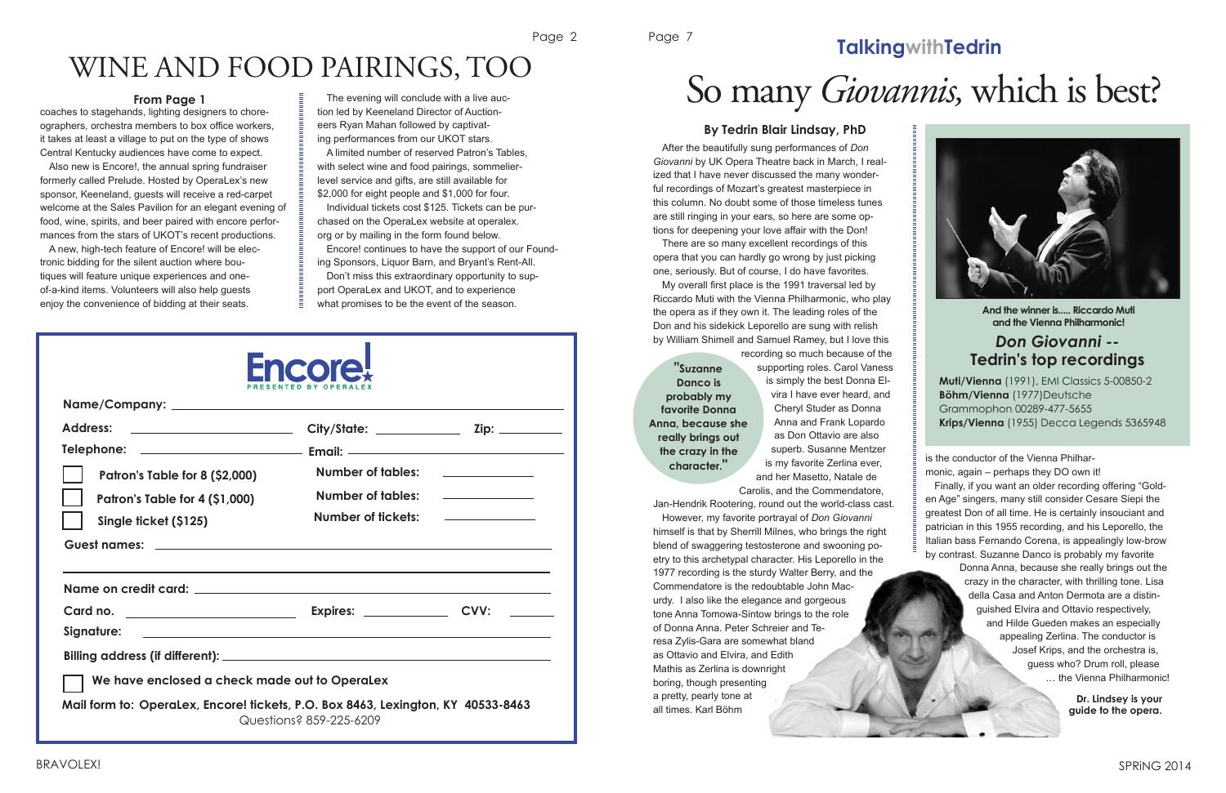Page 2

## WINE AND FOOD PAIRINGS, TOO

coaches to stagehands, lighting designers to choreographers, orchestra members to box office workers, it takes at least a village to put on the type of shows Central Kentucky audiences have come to expect.

| <b>Fncore</b>                                                                                                |                                                                                                             |  |
|--------------------------------------------------------------------------------------------------------------|-------------------------------------------------------------------------------------------------------------|--|
| <b>Address:</b><br>Patron's Table for 8 (\$2,000)<br>Patron's Table for 4 (\$1,000)<br>Single ficket (\$125) | Number of tables:<br>Number of tables:<br>Number of fickets:                                                |  |
|                                                                                                              |                                                                                                             |  |
| Card no.<br>Signature:                                                                                       |                                                                                                             |  |
|                                                                                                              |                                                                                                             |  |
| We have enclosed a check made out to OperaLex                                                                |                                                                                                             |  |
|                                                                                                              | Mail form to: OperaLex, Encore! tickets, P.O. Box 8463, Lexington, KY 40533-8463<br>Questions? 859-225-6209 |  |

The evening will conclude with a live auction led by Keeneland Director of Auctioneers Ryan Mahan followed by captivat-

| ographors, ordnostra mombors to box omoc workcrs,        | CCIO ilyan mandri iollowca by captival-            |
|----------------------------------------------------------|----------------------------------------------------|
| it takes at least a village to put on the type of shows  | ing performances from our UKOT stars.              |
| Central Kentucky audiences have come to expect.          | A limited number of reserved Patron's Tables,      |
| Also new is Encore!, the annual spring fundraiser        | with select wine and food pairings, sommelier-     |
| formerly called Prelude. Hosted by OperaLex's new        | level service and gifts, are still available for   |
| sponsor, Keeneland, guests will receive a red-carpet     | \$2,000 for eight people and \$1,000 for four.     |
| welcome at the Sales Pavilion for an elegant evening of  | Individual tickets cost \$125. Tickets can be pur- |
| food, wine, spirits, and beer paired with encore perfor- | chased on the OperaLex website at operalex.        |
| mances from the stars of UKOT's recent productions.      | org or by mailing in the form found below.         |
| A new, high-tech feature of Encore! will be elec-        | Encore! continues to have the support of our Fou   |
| tronic bidding for the silent auction where bou-         | ing Sponsors, Liquor Barn, and Bryant's Rent-All.  |
| tiques will feature unique experiences and one-          | Don't miss this extraordinary opportunity to sup-  |
| of-a-kind items. Volunteers will also help guests        | port OperaLex and UKOT, and to experience          |
| enjoy the convenience of bidding at their seats.         | what promises to be the event of the season.       |
|                                                          |                                                    |
|                                                          |                                                    |

Encore! continues to have the support of our Found-

#### **From Page 1**

Page 7

SPRiNG 2014

### **TalkingwithTedrin**



After the beautifully sung performances of *Don Giovanni* by UK Opera Theatre back in March, I realized that I have never discussed the many wonderful recordings of Mozart's greatest masterpiece in this column. No doubt some of those timeless tunes are still ringing in your ears, so here are some options for deepening your love affair with the Don!

There are so many excellent recordings of this opera that you can hardly go wrong by just picking one, seriously. But of course, I do have favorites.

My overall first place is the 1991 traversal led by Riccardo Muti with the Vienna Philharmonic, who play the opera as if they own it. The leading roles of the Don and his sidekick Leporello are sung with relish by William Shimell and Samuel Ramey, but I love this

> recording so much because of the supporting roles. Carol Vaness is simply the best Donna Elvira I have ever heard, and Cheryl Studer as Donna Anna and Frank Lopardo as Don Ottavio are also superb. Susanne Mentzer is my favorite Zerlina ever, and her Masetto, Natale de

Carolis, and the Commendatore, Jan-Hendrik Rootering, round out the world-class cast. However, my favorite portrayal of *Don Giovanni*  himself is that by Sherrill Milnes, who brings the right blend of swaggering testosterone and swooning poetry to this archetypal character. His Leporello in the 1977 recording is the sturdy Walter Berry, and the Commendatore is the redoubtable John Macurdy. I also like the elegance and gorgeous tone Anna Tomowa-Sintow brings to the role of Donna Anna. Peter Schreier and Teresa Zylis-Gara are somewhat bland as Ottavio and Elvira, and Edith Mathis as Zerlina is downright boring, though presenting a pretty, pearly tone at all times. Karl Böhm

is the conductor of the Vienna Philharmonic, again – perhaps they DO own it!

Finally, if you want an older recording offering "Golden Age" singers, many still consider Cesare Siepi the greatest Don of all time. He is certainly insouciant and patrician in this 1955 recording, and his Leporello, the Italian bass Fernando Corena, is appealingly low-brow by contrast. Suzanne Danco is probably my favorite

> Donna Anna, because she really brings out the crazy in the character, with thrilling tone. Lisa della Casa and Anton Dermota are a distinguished Elvira and Ottavio respectively, and Hilde Gueden makes an especially appealing Zerlina. The conductor is Josef Krips, and the orchestra is, guess who? Drum roll, please … the Vienna Philharmonic!

## So many *Giovannis,* which is best?

#### **By Tedrin Blair Lindsay, PhD**

**Dr. Lindsey is your guide to the opera.**

#### *Don Giovanni --* **Tedrin's top recordings**

**Muti/Vienna** (1991), EMI Classics 5-00850-2 **Böhm/Vienna** (1977)Deutsche Grammophon 00289-477-5655 **Krips/Vienna** (1955) Decca Legends 5365948

**"Suzanne Danco is probably my favorite Donna Anna, because she really brings out the crazy in the character."**

**And the winner is..... Riccardo Muti and the Vienna Philharmonic!**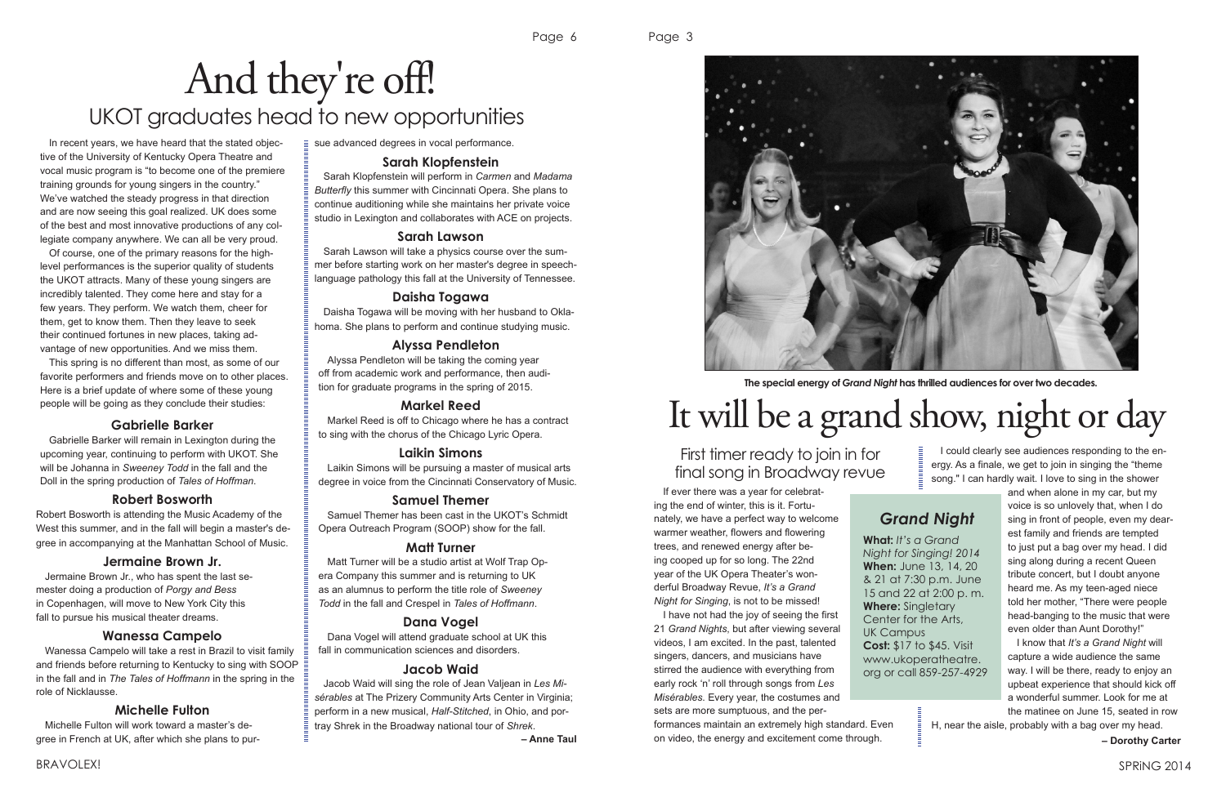In recent years, we have heard that the stated objective of the University of Kentucky Opera Theatre and vocal music program is "to become one of the premiere training grounds for young singers in the country." We've watched the steady progress in that direction and are now seeing this goal realized. UK does some of the best and most innovative productions of any collegiate company anywhere. We can all be very proud.

Of course, one of the primary reasons for the highlevel performances is the superior quality of students the UKOT attracts. Many of these young singers are incredibly talented. They come here and stay for a few years. They perform. We watch them, cheer for them, get to know them. Then they leave to seek their continued fortunes in new places, taking advantage of new opportunities. And we miss them.

This spring is no different than most, as some of our favorite performers and friends move on to other places. Here is a brief update of where some of these young people will be going as they conclude their studies:

#### **Gabrielle Barker**

Gabrielle Barker will remain in Lexington during the upcoming year, continuing to perform with UKOT. She will be Johanna in *Sweeney Todd* in the fall and the Doll in the spring production of *Tales of Hoffman*.

#### **Robert Bosworth**

Robert Bosworth is attending the Music Academy of the West this summer, and in the fall will begin a master's degree in accompanying at the Manhattan School of Music.

#### **Jermaine Brown Jr.**

Jermaine Brown Jr., who has spent the last semester doing a production of *Porgy and Bess* in Copenhagen, will move to New York City this fall to pursue his musical theater dreams.

#### **Wanessa Campelo**

Wanessa Campelo will take a rest in Brazil to visit family and friends before returning to Kentucky to sing with SOOP in the fall and in *The Tales of Hoffmann* in the spring in the role of Nicklausse.

#### **Michelle Fulton**

Michelle Fulton will work toward a master's degree in French at UK, after which she plans to pursue advanced degrees in vocal performance.

#### **Sarah Klopfenstein**

Sarah Klopfenstein will perform in *Carmen* and *Madama Butterfly* this summer with Cincinnati Opera. She plans to continue auditioning while she maintains her private voice studio in Lexington and collaborates with ACE on projects.

#### **Sarah Lawson**

Sarah Lawson will take a physics course over the summer before starting work on her master's degree in speechlanguage pathology this fall at the University of Tennessee.

#### **Daisha Togawa**

Daisha Togawa will be moving with her husband to Oklahoma. She plans to perform and continue studying music.

#### **Alyssa Pendleton**

Alyssa Pendleton will be taking the coming year off from academic work and performance, then audition for graduate programs in the spring of 2015.

#### **Markel Reed**

Markel Reed is off to Chicago where he has a contract to sing with the chorus of the Chicago Lyric Opera.

#### **Laikin Simons**

Laikin Simons will be pursuing a master of musical arts degree in voice from the Cincinnati Conservatory of Music.

#### **Samuel Themer**

Samuel Themer has been cast in the UKOT's Schmidt Opera Outreach Program (SOOP) show for the fall.

#### **Matt Turner**

Matt Turner will be a studio artist at Wolf Trap Opera Company this summer and is returning to UK as an alumnus to perform the title role of *Sweeney Todd* in the fall and Crespel in *Tales of Hoffmann*.

#### **Dana Vogel**

Dana Vogel will attend graduate school at UK this fall in communication sciences and disorders.

#### **Jacob Waid**

Jacob Waid will sing the role of Jean Valjean in *Les Misérables* at The Prizery Community Arts Center in Virginia; perform in a new musical, *Half-Stitched*, in Ohio, and portray Shrek in the Broadway national tour of *Shrek*.

**– Anne Taul**



## And they're off! UKOT graduates head to new opportunities

Page 3

#### *Grand Night*

**What:** *It's a Grand Night for Singing! 2014* **When:** June 13, 14, 20 & 21 at 7:30 p.m. June 15 and 22 at 2:00 p. m. **Where:** Singletary Center for the Arts, **Cost:** \$17 to \$45. Visit www.ukoperatheatre. org or call 859-257-4929

UK Campus

If ever there was a year for celebrating the end of winter, this is it. Fortunately, we have a perfect way to welcome warmer weather, flowers and flowering trees, and renewed energy after being cooped up for so long. The 22nd year of the UK Opera Theater's wonderful Broadway Revue, *It's a Grand Night for Singing*, is not to be missed!

I have not had the joy of seeing the first 21 *Grand Nights*, but after viewing several videos, I am excited. In the past, talented singers, dancers, and musicians have stirred the audience with everything from early rock 'n' roll through songs from *Les Misérables*. Every year, the costumes and sets are more sumptuous, and the per-

#### formances maintain an extremely high standard. Even on video, the energy and excitement come through.

I could clearly see audiences responding to the energy. As a finale, we get to join in singing the "theme song." I can hardly wait. I love to sing in the shower

and when alone in my car, but my voice is so unlovely that, when I do sing in front of people, even my dearest family and friends are tempted to just put a bag over my head. I did sing along during a recent Queen tribute concert, but I doubt anyone heard me. As my teen-aged niece told her mother, "There were people head-banging to the music that were even older than Aunt Dorothy!"

I know that *It's a Grand Night* will capture a wide audience the same way. I will be there, ready to enjoy an upbeat experience that should kick off a wonderful summer. Look for me at the matinee on June 15, seated in row

H, near the aisle, probably with a bag over my head.

**– Dorothy Carter**

# It will be a grand show, night or day

#### First timer ready to join in for final song in Broadway revue

**The special energy of** *Grand Night* **has thrilled audiences for over two decades.**